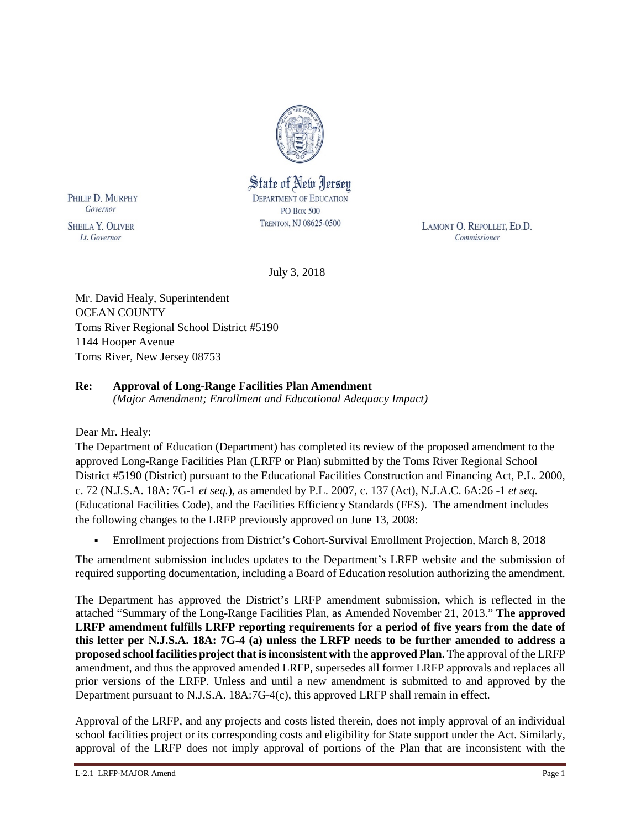

PHILIP D. MURPHY Governor

**SHEILA Y. OLIVER** Lt. Governor

State of New Jersey **DEPARTMENT OF EDUCATION PO Box 500** TRENTON, NJ 08625-0500

LAMONT O. REPOLLET, ED.D. Commissioner

July 3, 2018

Mr. David Healy, Superintendent OCEAN COUNTY Toms River Regional School District #5190 1144 Hooper Avenue Toms River, New Jersey 08753

# **Re: Approval of Long-Range Facilities Plan Amendment**

*(Major Amendment; Enrollment and Educational Adequacy Impact)*

Dear Mr. Healy:

The Department of Education (Department) has completed its review of the proposed amendment to the approved Long-Range Facilities Plan (LRFP or Plan) submitted by the Toms River Regional School District #5190 (District) pursuant to the Educational Facilities Construction and Financing Act, P.L. 2000, c. 72 (N.J.S.A. 18A: 7G-1 *et seq.*), as amended by P.L. 2007, c. 137 (Act), N.J.A.C. 6A:26 -1 *et seq.* (Educational Facilities Code), and the Facilities Efficiency Standards (FES). The amendment includes the following changes to the LRFP previously approved on June 13, 2008:

Enrollment projections from District's Cohort-Survival Enrollment Projection, March 8, 2018

The amendment submission includes updates to the Department's LRFP website and the submission of required supporting documentation, including a Board of Education resolution authorizing the amendment.

The Department has approved the District's LRFP amendment submission, which is reflected in the attached "Summary of the Long-Range Facilities Plan, as Amended November 21, 2013." **The approved LRFP amendment fulfills LRFP reporting requirements for a period of five years from the date of this letter per N.J.S.A. 18A: 7G-4 (a) unless the LRFP needs to be further amended to address a proposed school facilities project that is inconsistent with the approved Plan.** The approval of the LRFP amendment, and thus the approved amended LRFP, supersedes all former LRFP approvals and replaces all prior versions of the LRFP. Unless and until a new amendment is submitted to and approved by the Department pursuant to N.J.S.A. 18A:7G-4(c), this approved LRFP shall remain in effect.

Approval of the LRFP, and any projects and costs listed therein, does not imply approval of an individual school facilities project or its corresponding costs and eligibility for State support under the Act. Similarly, approval of the LRFP does not imply approval of portions of the Plan that are inconsistent with the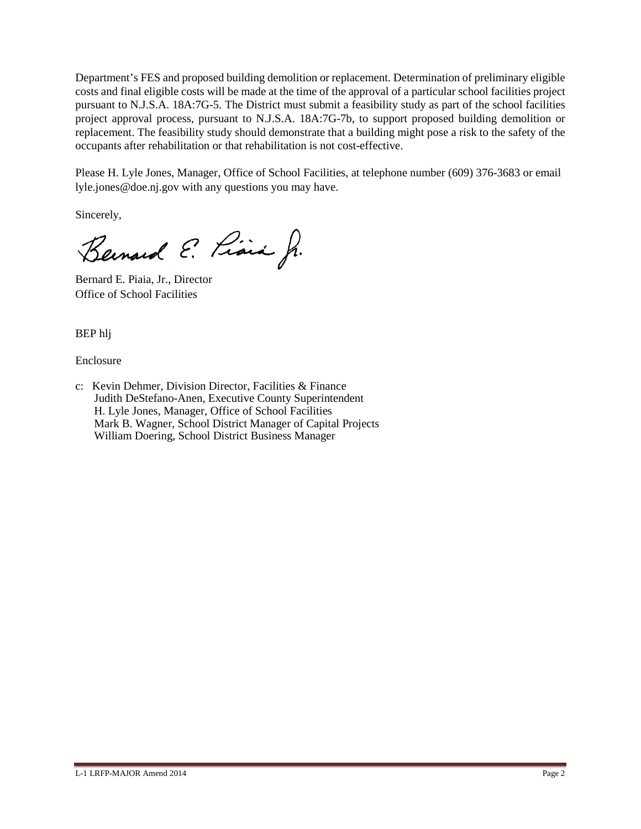Department's FES and proposed building demolition or replacement. Determination of preliminary eligible costs and final eligible costs will be made at the time of the approval of a particular school facilities project pursuant to N.J.S.A. 18A:7G-5. The District must submit a feasibility study as part of the school facilities project approval process, pursuant to N.J.S.A. 18A:7G-7b, to support proposed building demolition or replacement. The feasibility study should demonstrate that a building might pose a risk to the safety of the occupants after rehabilitation or that rehabilitation is not cost-effective.

Please H. Lyle Jones, Manager, Office of School Facilities, at telephone number (609) 376-3683 or email lyle.jones@doe.nj.gov with any questions you may have.

Sincerely,

Bernard E. Piara Jr.

Bernard E. Piaia, Jr., Director Office of School Facilities

BEP hlj

Enclosure

c: Kevin Dehmer, Division Director, Facilities & Finance Judith DeStefano-Anen, Executive County Superintendent H. Lyle Jones, Manager, Office of School Facilities Mark B. Wagner, School District Manager of Capital Projects William Doering, School District Business Manager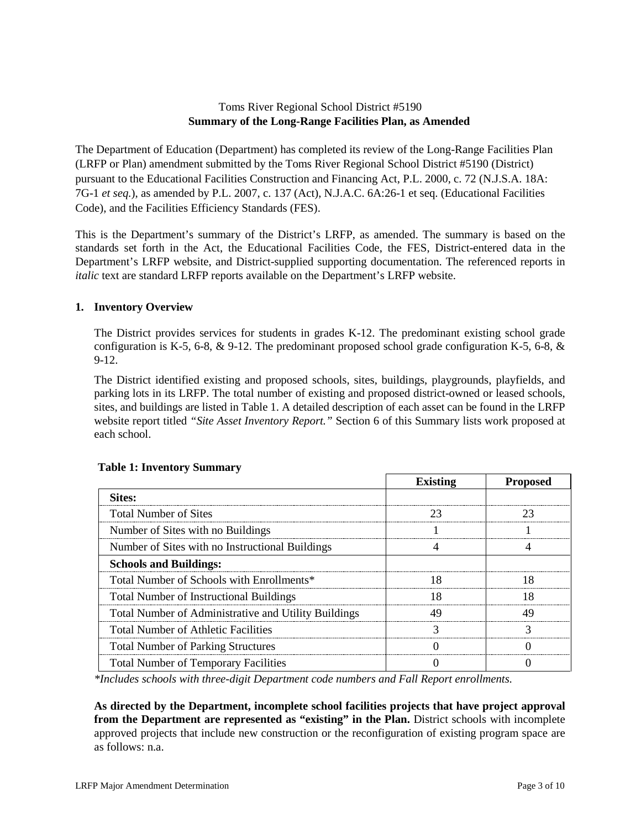## Toms River Regional School District #5190 **Summary of the Long-Range Facilities Plan, as Amended**

The Department of Education (Department) has completed its review of the Long-Range Facilities Plan (LRFP or Plan) amendment submitted by the Toms River Regional School District #5190 (District) pursuant to the Educational Facilities Construction and Financing Act, P.L. 2000, c. 72 (N.J.S.A. 18A: 7G-1 *et seq.*), as amended by P.L. 2007, c. 137 (Act), N.J.A.C. 6A:26-1 et seq. (Educational Facilities Code), and the Facilities Efficiency Standards (FES).

This is the Department's summary of the District's LRFP, as amended. The summary is based on the standards set forth in the Act, the Educational Facilities Code, the FES, District-entered data in the Department's LRFP website, and District-supplied supporting documentation. The referenced reports in *italic* text are standard LRFP reports available on the Department's LRFP website.

### **1. Inventory Overview**

The District provides services for students in grades K-12. The predominant existing school grade configuration is K-5, 6-8,  $\&$  9-12. The predominant proposed school grade configuration K-5, 6-8,  $\&$ 9-12.

The District identified existing and proposed schools, sites, buildings, playgrounds, playfields, and parking lots in its LRFP. The total number of existing and proposed district-owned or leased schools, sites, and buildings are listed in Table 1. A detailed description of each asset can be found in the LRFP website report titled *"Site Asset Inventory Report."* Section 6 of this Summary lists work proposed at each school.

|                                                      | <b>Existing</b> | <b>Proposed</b> |
|------------------------------------------------------|-----------------|-----------------|
| <b>Sites:</b>                                        |                 |                 |
| <b>Total Number of Sites</b>                         |                 |                 |
| Number of Sites with no Buildings                    |                 |                 |
| Number of Sites with no Instructional Buildings      |                 |                 |
| <b>Schools and Buildings:</b>                        |                 |                 |
| Total Number of Schools with Enrollments*            |                 |                 |
| <b>Total Number of Instructional Buildings</b>       |                 |                 |
| Total Number of Administrative and Utility Buildings |                 |                 |
| <b>Total Number of Athletic Facilities</b>           |                 |                 |
| <b>Total Number of Parking Structures</b>            |                 |                 |
| <b>Total Number of Temporary Facilities</b>          |                 |                 |

## **Table 1: Inventory Summary**

*\*Includes schools with three-digit Department code numbers and Fall Report enrollments.*

**As directed by the Department, incomplete school facilities projects that have project approval from the Department are represented as "existing" in the Plan.** District schools with incomplete approved projects that include new construction or the reconfiguration of existing program space are as follows: n.a.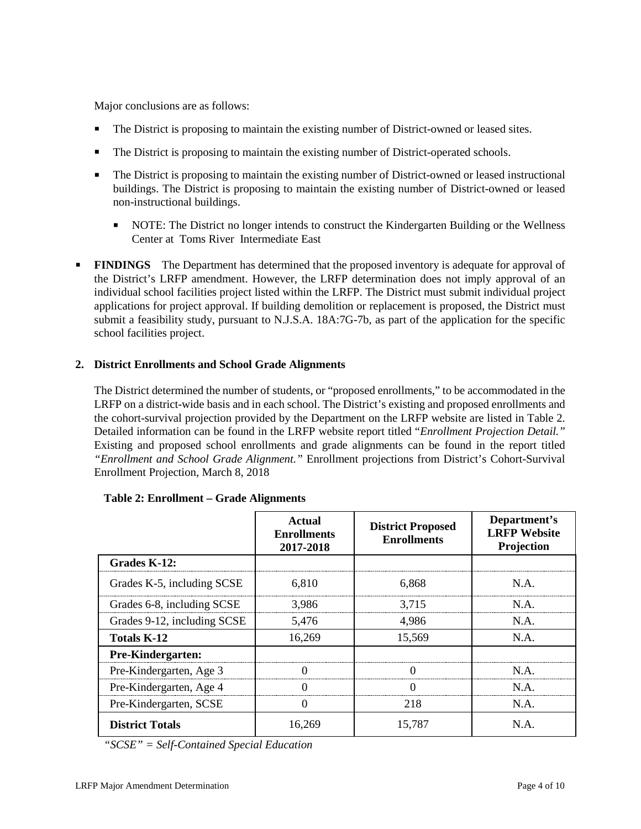Major conclusions are as follows:

- The District is proposing to maintain the existing number of District-owned or leased sites.
- The District is proposing to maintain the existing number of District-operated schools.
- The District is proposing to maintain the existing number of District-owned or leased instructional buildings. The District is proposing to maintain the existing number of District-owned or leased non-instructional buildings.
	- NOTE: The District no longer intends to construct the Kindergarten Building or the Wellness Center at Toms River Intermediate East
- **FINDINGS** The Department has determined that the proposed inventory is adequate for approval of the District's LRFP amendment. However, the LRFP determination does not imply approval of an individual school facilities project listed within the LRFP. The District must submit individual project applications for project approval. If building demolition or replacement is proposed, the District must submit a feasibility study, pursuant to N.J.S.A. 18A:7G-7b, as part of the application for the specific school facilities project.

#### **2. District Enrollments and School Grade Alignments**

The District determined the number of students, or "proposed enrollments," to be accommodated in the LRFP on a district-wide basis and in each school. The District's existing and proposed enrollments and the cohort-survival projection provided by the Department on the LRFP website are listed in Table 2. Detailed information can be found in the LRFP website report titled "*Enrollment Projection Detail."*  Existing and proposed school enrollments and grade alignments can be found in the report titled *"Enrollment and School Grade Alignment."* Enrollment projections from District's Cohort-Survival Enrollment Projection, March 8, 2018

|                             | Actual<br><b>Enrollments</b><br>2017-2018 | <b>District Proposed</b><br><b>Enrollments</b> | Department's<br><b>LRFP</b> Website<br>Projection |
|-----------------------------|-------------------------------------------|------------------------------------------------|---------------------------------------------------|
| Grades K-12:                |                                           |                                                |                                                   |
| Grades K-5, including SCSE  | 6,810                                     | 6,868                                          | $NA$ .                                            |
| Grades 6-8, including SCSE  | 3.986                                     | 3.715                                          | N A                                               |
| Grades 9-12, including SCSE | 5.476                                     | 4.986                                          | N.A.                                              |
| <b>Totals K-12</b>          | 16,269                                    | 15,569                                         | N.A.                                              |
| Pre-Kindergarten:           |                                           |                                                |                                                   |
| Pre-Kindergarten, Age 3     |                                           |                                                | N A                                               |
| Pre-Kindergarten, Age 4     |                                           |                                                | N A                                               |
| Pre-Kindergarten, SCSE      | U                                         | 218                                            | N.A.                                              |
| <b>District Totals</b>      | 16.269                                    | 15.787                                         | N.A.                                              |

|  | Table 2: Enrollment – Grade Alignments |
|--|----------------------------------------|
|--|----------------------------------------|

*"SCSE" = Self-Contained Special Education*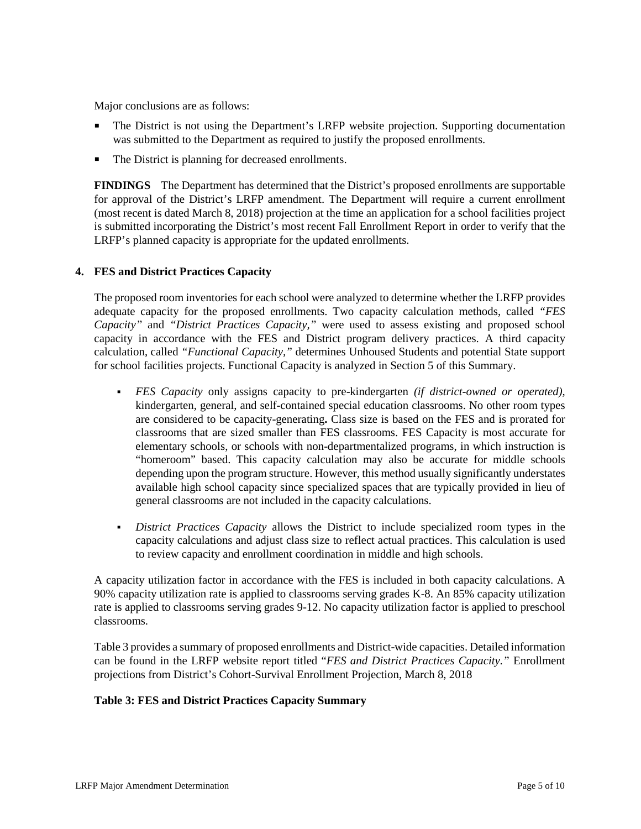Major conclusions are as follows:

- The District is not using the Department's LRFP website projection. Supporting documentation was submitted to the Department as required to justify the proposed enrollments.
- The District is planning for decreased enrollments.

**FINDINGS** The Department has determined that the District's proposed enrollments are supportable for approval of the District's LRFP amendment. The Department will require a current enrollment (most recent is dated March 8, 2018) projection at the time an application for a school facilities project is submitted incorporating the District's most recent Fall Enrollment Report in order to verify that the LRFP's planned capacity is appropriate for the updated enrollments.

#### **4. FES and District Practices Capacity**

The proposed room inventories for each school were analyzed to determine whether the LRFP provides adequate capacity for the proposed enrollments. Two capacity calculation methods, called *"FES Capacity"* and *"District Practices Capacity,"* were used to assess existing and proposed school capacity in accordance with the FES and District program delivery practices. A third capacity calculation, called *"Functional Capacity,"* determines Unhoused Students and potential State support for school facilities projects. Functional Capacity is analyzed in Section 5 of this Summary.

- *FES Capacity* only assigns capacity to pre-kindergarten *(if district-owned or operated),* kindergarten, general, and self-contained special education classrooms. No other room types are considered to be capacity-generating**.** Class size is based on the FES and is prorated for classrooms that are sized smaller than FES classrooms. FES Capacity is most accurate for elementary schools, or schools with non-departmentalized programs, in which instruction is "homeroom" based. This capacity calculation may also be accurate for middle schools depending upon the program structure. However, this method usually significantly understates available high school capacity since specialized spaces that are typically provided in lieu of general classrooms are not included in the capacity calculations.
- *District Practices Capacity* allows the District to include specialized room types in the capacity calculations and adjust class size to reflect actual practices. This calculation is used to review capacity and enrollment coordination in middle and high schools.

A capacity utilization factor in accordance with the FES is included in both capacity calculations. A 90% capacity utilization rate is applied to classrooms serving grades K-8. An 85% capacity utilization rate is applied to classrooms serving grades 9-12. No capacity utilization factor is applied to preschool classrooms.

Table 3 provides a summary of proposed enrollments and District-wide capacities. Detailed information can be found in the LRFP website report titled "*FES and District Practices Capacity."* Enrollment projections from District's Cohort-Survival Enrollment Projection, March 8, 2018

#### **Table 3: FES and District Practices Capacity Summary**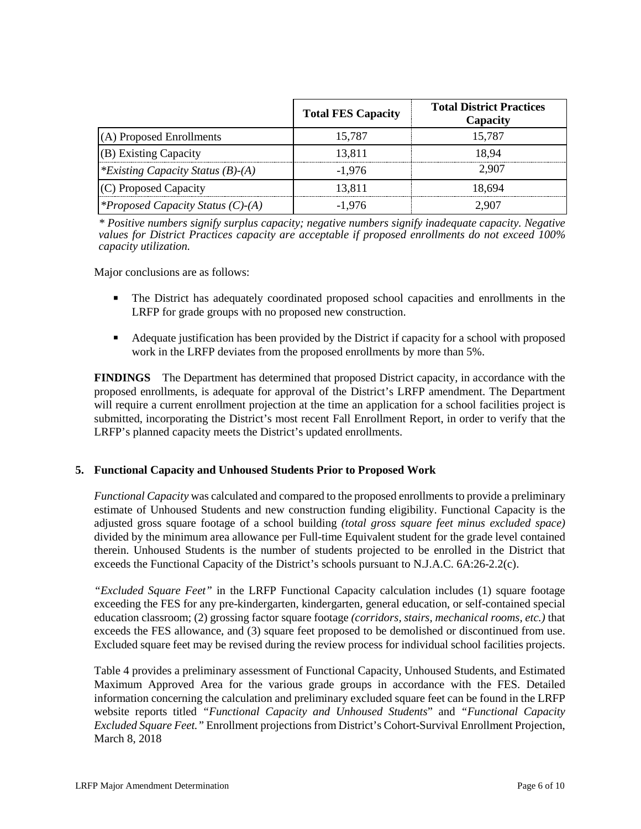|                                          | <b>Total FES Capacity</b> | <b>Total District Practices</b><br>Capacity |
|------------------------------------------|---------------------------|---------------------------------------------|
| (A) Proposed Enrollments                 | 15,787                    | 15.787                                      |
| (B) Existing Capacity                    | 13,811                    | 18 94                                       |
| <i>*Existing Capacity Status (B)-(A)</i> | $-1.976$                  | 2.907                                       |
| (C) Proposed Capacity                    | 13,811                    | 18.694                                      |
| <i>*Proposed Capacity Status (C)-(A)</i> | $-1.976$                  | -907                                        |

*\* Positive numbers signify surplus capacity; negative numbers signify inadequate capacity. Negative values for District Practices capacity are acceptable if proposed enrollments do not exceed 100% capacity utilization.*

Major conclusions are as follows:

- The District has adequately coordinated proposed school capacities and enrollments in the LRFP for grade groups with no proposed new construction.
- Adequate justification has been provided by the District if capacity for a school with proposed work in the LRFP deviates from the proposed enrollments by more than 5%.

**FINDINGS** The Department has determined that proposed District capacity, in accordance with the proposed enrollments, is adequate for approval of the District's LRFP amendment. The Department will require a current enrollment projection at the time an application for a school facilities project is submitted, incorporating the District's most recent Fall Enrollment Report, in order to verify that the LRFP's planned capacity meets the District's updated enrollments.

#### **5. Functional Capacity and Unhoused Students Prior to Proposed Work**

*Functional Capacity* was calculated and compared to the proposed enrollments to provide a preliminary estimate of Unhoused Students and new construction funding eligibility. Functional Capacity is the adjusted gross square footage of a school building *(total gross square feet minus excluded space)*  divided by the minimum area allowance per Full-time Equivalent student for the grade level contained therein. Unhoused Students is the number of students projected to be enrolled in the District that exceeds the Functional Capacity of the District's schools pursuant to N.J.A.C. 6A:26-2.2(c).

*"Excluded Square Feet"* in the LRFP Functional Capacity calculation includes (1) square footage exceeding the FES for any pre-kindergarten, kindergarten, general education, or self-contained special education classroom; (2) grossing factor square footage *(corridors, stairs, mechanical rooms, etc.)* that exceeds the FES allowance, and (3) square feet proposed to be demolished or discontinued from use. Excluded square feet may be revised during the review process for individual school facilities projects.

Table 4 provides a preliminary assessment of Functional Capacity, Unhoused Students, and Estimated Maximum Approved Area for the various grade groups in accordance with the FES. Detailed information concerning the calculation and preliminary excluded square feet can be found in the LRFP website reports titled *"Functional Capacity and Unhoused Students*" and *"Functional Capacity Excluded Square Feet."* Enrollment projections from District's Cohort-Survival Enrollment Projection, March 8, 2018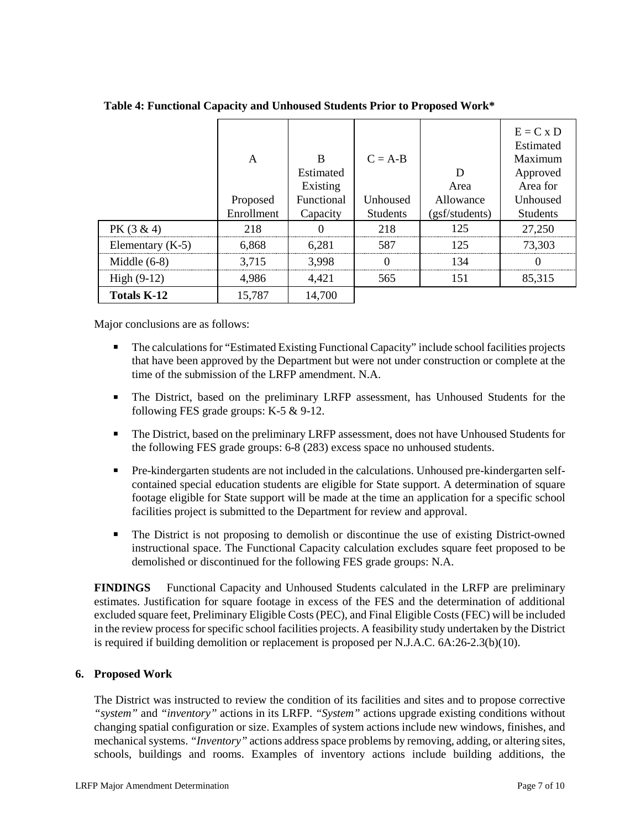|                    | A<br>Proposed<br>Enrollment | R<br>Estimated<br>Existing<br>Functional<br>Capacity | $C = A-B$<br>Unhoused<br><b>Students</b> | D<br>Area<br>Allowance<br>(gsf/students) | $E = C x D$<br>Estimated<br>Maximum<br>Approved<br>Area for<br>Unhoused<br><b>Students</b> |
|--------------------|-----------------------------|------------------------------------------------------|------------------------------------------|------------------------------------------|--------------------------------------------------------------------------------------------|
| $PK(3 \& 4)$       | 218                         |                                                      | 218                                      | 125                                      | 27,250                                                                                     |
| Elementary $(K-5)$ | 6,868                       | 6,281                                                | 587                                      | 125                                      | 73,303                                                                                     |
| Middle $(6-8)$     | 3.715                       | 3.998                                                |                                          | 134                                      |                                                                                            |
| High $(9-12)$      | 4,986                       | 4,421                                                | 565                                      | 151                                      | 85,315                                                                                     |
| <b>Totals K-12</b> | 15,787                      | 14,700                                               |                                          |                                          |                                                                                            |

**Table 4: Functional Capacity and Unhoused Students Prior to Proposed Work\***

Major conclusions are as follows:

- The calculations for "Estimated Existing Functional Capacity" include school facilities projects that have been approved by the Department but were not under construction or complete at the time of the submission of the LRFP amendment. N.A.
- The District, based on the preliminary LRFP assessment, has Unhoused Students for the following FES grade groups: K-5 & 9-12.
- The District, based on the preliminary LRFP assessment, does not have Unhoused Students for the following FES grade groups: 6-8 (283) excess space no unhoused students.
- Pre-kindergarten students are not included in the calculations. Unhoused pre-kindergarten selfcontained special education students are eligible for State support. A determination of square footage eligible for State support will be made at the time an application for a specific school facilities project is submitted to the Department for review and approval.
- The District is not proposing to demolish or discontinue the use of existing District-owned instructional space. The Functional Capacity calculation excludes square feet proposed to be demolished or discontinued for the following FES grade groups: N.A.

**FINDINGS** Functional Capacity and Unhoused Students calculated in the LRFP are preliminary estimates. Justification for square footage in excess of the FES and the determination of additional excluded square feet, Preliminary Eligible Costs (PEC), and Final Eligible Costs (FEC) will be included in the review process for specific school facilities projects. A feasibility study undertaken by the District is required if building demolition or replacement is proposed per N.J.A.C. 6A:26-2.3(b)(10).

#### **6. Proposed Work**

The District was instructed to review the condition of its facilities and sites and to propose corrective *"system"* and *"inventory"* actions in its LRFP. *"System"* actions upgrade existing conditions without changing spatial configuration or size. Examples of system actions include new windows, finishes, and mechanical systems. *"Inventory"* actions address space problems by removing, adding, or altering sites, schools, buildings and rooms. Examples of inventory actions include building additions, the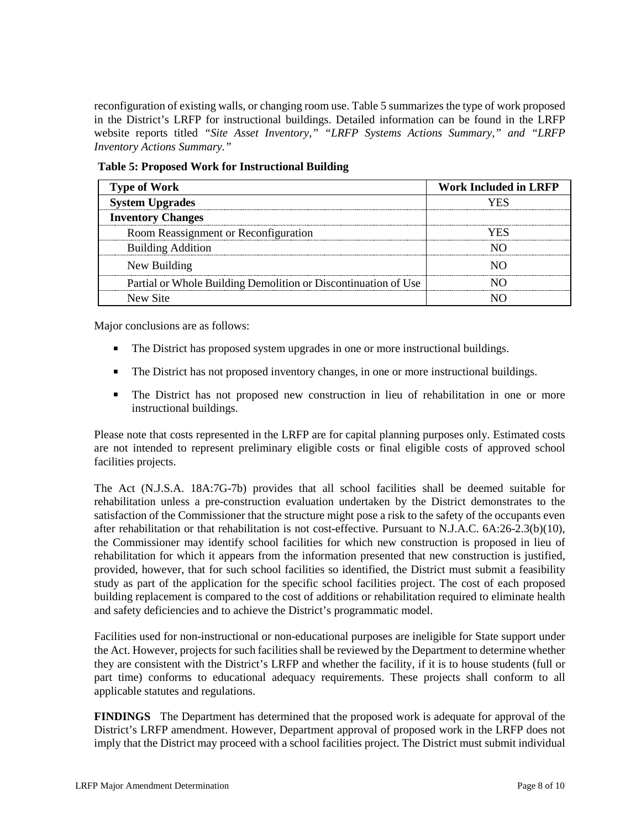reconfiguration of existing walls, or changing room use. Table 5 summarizes the type of work proposed in the District's LRFP for instructional buildings. Detailed information can be found in the LRFP website reports titled *"Site Asset Inventory," "LRFP Systems Actions Summary," and "LRFP Inventory Actions Summary."* 

| <b>Type of Work</b>                                            | <b>Work Included in LRFP</b> |  |  |
|----------------------------------------------------------------|------------------------------|--|--|
| <b>System Upgrades</b>                                         |                              |  |  |
| <b>Inventory Changes</b>                                       |                              |  |  |
| Room Reassignment or Reconfiguration                           |                              |  |  |
| <b>Building Addition</b>                                       |                              |  |  |
| New Building                                                   |                              |  |  |
| Partial or Whole Building Demolition or Discontinuation of Use |                              |  |  |
| New Site                                                       |                              |  |  |

**Table 5: Proposed Work for Instructional Building**

Major conclusions are as follows:

- The District has proposed system upgrades in one or more instructional buildings.
- The District has not proposed inventory changes, in one or more instructional buildings.
- The District has not proposed new construction in lieu of rehabilitation in one or more instructional buildings.

Please note that costs represented in the LRFP are for capital planning purposes only. Estimated costs are not intended to represent preliminary eligible costs or final eligible costs of approved school facilities projects.

The Act (N.J.S.A. 18A:7G-7b) provides that all school facilities shall be deemed suitable for rehabilitation unless a pre-construction evaluation undertaken by the District demonstrates to the satisfaction of the Commissioner that the structure might pose a risk to the safety of the occupants even after rehabilitation or that rehabilitation is not cost-effective. Pursuant to N.J.A.C. 6A:26-2.3(b)(10), the Commissioner may identify school facilities for which new construction is proposed in lieu of rehabilitation for which it appears from the information presented that new construction is justified, provided, however, that for such school facilities so identified, the District must submit a feasibility study as part of the application for the specific school facilities project. The cost of each proposed building replacement is compared to the cost of additions or rehabilitation required to eliminate health and safety deficiencies and to achieve the District's programmatic model.

Facilities used for non-instructional or non-educational purposes are ineligible for State support under the Act. However, projects for such facilities shall be reviewed by the Department to determine whether they are consistent with the District's LRFP and whether the facility, if it is to house students (full or part time) conforms to educational adequacy requirements. These projects shall conform to all applicable statutes and regulations.

**FINDINGS** The Department has determined that the proposed work is adequate for approval of the District's LRFP amendment. However, Department approval of proposed work in the LRFP does not imply that the District may proceed with a school facilities project. The District must submit individual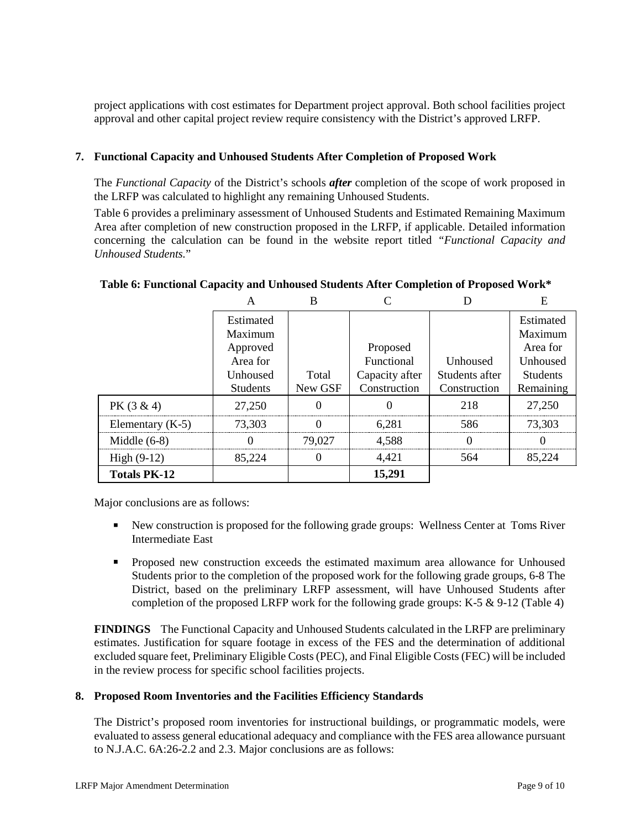project applications with cost estimates for Department project approval. Both school facilities project approval and other capital project review require consistency with the District's approved LRFP.

### **7. Functional Capacity and Unhoused Students After Completion of Proposed Work**

The *Functional Capacity* of the District's schools *after* completion of the scope of work proposed in the LRFP was calculated to highlight any remaining Unhoused Students.

Table 6 provides a preliminary assessment of Unhoused Students and Estimated Remaining Maximum Area after completion of new construction proposed in the LRFP, if applicable. Detailed information concerning the calculation can be found in the website report titled *"Functional Capacity and Unhoused Students.*"

|                     |                                                                 | B       |                                          |                            | E                                                               |
|---------------------|-----------------------------------------------------------------|---------|------------------------------------------|----------------------------|-----------------------------------------------------------------|
|                     | Estimated<br>Maximum<br>Approved<br>Area for<br><b>Unhoused</b> | Total   | Proposed<br>Functional<br>Capacity after | Unhoused<br>Students after | Estimated<br>Maximum<br>Area for<br>Unhoused<br><b>Students</b> |
|                     | <b>Students</b>                                                 | New GSF | Construction                             | Construction               | Remaining                                                       |
| $PK(3 \& 4)$        | 27,250                                                          |         |                                          | 218                        | 27,250                                                          |
| Elementary $(K-5)$  | 73,303                                                          |         | 6.281                                    | 586                        | 73,303                                                          |
| Middle $(6-8)$      |                                                                 | 79,027  | 4.588                                    | $\blacksquare$             |                                                                 |
| High $(9-12)$       | 85,224                                                          |         | 4.421                                    | 564                        | 85.224                                                          |
| <b>Totals PK-12</b> |                                                                 |         | 15,291                                   |                            |                                                                 |

### **Table 6: Functional Capacity and Unhoused Students After Completion of Proposed Work\***

Major conclusions are as follows:

- New construction is proposed for the following grade groups: Wellness Center at Toms River Intermediate East
- Proposed new construction exceeds the estimated maximum area allowance for Unhoused Students prior to the completion of the proposed work for the following grade groups, 6-8 The District, based on the preliminary LRFP assessment, will have Unhoused Students after completion of the proposed LRFP work for the following grade groups: K-5  $\&$  9-12 (Table 4)

**FINDINGS** The Functional Capacity and Unhoused Students calculated in the LRFP are preliminary estimates. Justification for square footage in excess of the FES and the determination of additional excluded square feet, Preliminary Eligible Costs (PEC), and Final Eligible Costs (FEC) will be included in the review process for specific school facilities projects.

## **8. Proposed Room Inventories and the Facilities Efficiency Standards**

The District's proposed room inventories for instructional buildings, or programmatic models, were evaluated to assess general educational adequacy and compliance with the FES area allowance pursuant to N.J.A.C. 6A:26-2.2 and 2.3. Major conclusions are as follows: